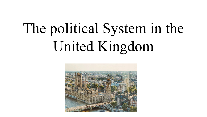## The political System in the United Kingdom

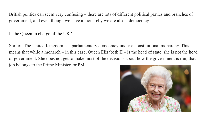British politics can seem very confusing – there are lots of different political parties and branches of government, and even though we have a monarchy we are also a democracy.

Is the Queen in charge of the UK?

Sort of. The United Kingdom is a parliamentary democracy under a constitutional monarchy. This means that while a monarch – in this case, Queen Elizabeth II – is the head of state, she is not the head of government. She does not get to make most of the decisions about how the government is run; that job belongs to the Prime Minister, or PM.

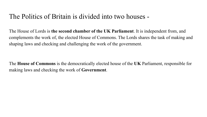## The Politics of Britain is divided into two houses -

The House of Lords is **the second chamber of the UK Parliament**. It is independent from, and complements the work of, the elected House of Commons. The Lords shares the task of making and shaping laws and checking and challenging the work of the government.

The **House of Commons** is the democratically elected house of the **UK** Parliament, responsible for making laws and checking the work of **Government**.